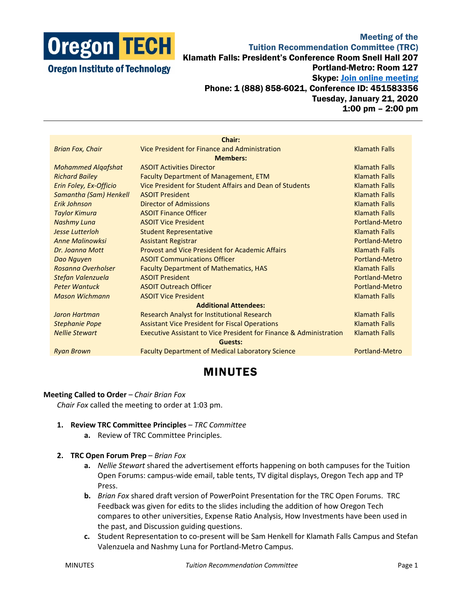

## Meeting of the Tuition Recommendation Committee (TRC) Klamath Falls: President's Conference Room Snell Hall 207 Portland-Metro: Room 127 Skype: **Join online meeting** Phone: 1 (888) 858-6021, Conference ID: 451583356 Tuesday, January 21, 2020 1:00 pm – 2:00 pm

|                              | Chair:                                                                        |                       |
|------------------------------|-------------------------------------------------------------------------------|-----------------------|
| <b>Brian Fox, Chair</b>      | Vice President for Finance and Administration                                 | <b>Klamath Falls</b>  |
| <b>Members:</b>              |                                                                               |                       |
| <b>Mohammed Algafshat</b>    | <b>ASOIT Activities Director</b>                                              | <b>Klamath Falls</b>  |
| <b>Richard Bailey</b>        | <b>Faculty Department of Management, ETM</b>                                  | <b>Klamath Falls</b>  |
| Erin Foley, Ex-Officio       | Vice President for Student Affairs and Dean of Students                       | <b>Klamath Falls</b>  |
| Samantha (Sam) Henkell       | <b>ASOIT President</b>                                                        | <b>Klamath Falls</b>  |
| Erik Johnson                 | Director of Admissions                                                        | <b>Klamath Falls</b>  |
| <b>Taylor Kimura</b>         | <b>ASOIT Finance Officer</b>                                                  | <b>Klamath Falls</b>  |
| <b>Nashmy Luna</b>           | <b>ASOIT Vice President</b>                                                   | Portland-Metro        |
| <b>Jesse Lutterloh</b>       | <b>Student Representative</b>                                                 | <b>Klamath Falls</b>  |
| <b>Anne Malinowksi</b>       | <b>Assistant Registrar</b>                                                    | Portland-Metro        |
| Dr. Joanna Mott              | <b>Provost and Vice President for Academic Affairs</b>                        | <b>Klamath Falls</b>  |
| Dao Nguyen                   | <b>ASOIT Communications Officer</b>                                           | Portland-Metro        |
| Rosanna Overholser           | <b>Faculty Department of Mathematics, HAS</b>                                 | <b>Klamath Falls</b>  |
| Stefan Valenzuela            | <b>ASOIT President</b>                                                        | Portland-Metro        |
| <b>Peter Wantuck</b>         | <b>ASOIT Outreach Officer</b>                                                 | <b>Portland-Metro</b> |
| <b>Mason Wichmann</b>        | <b>ASOIT Vice President</b>                                                   | <b>Klamath Falls</b>  |
| <b>Additional Attendees:</b> |                                                                               |                       |
| Jaron Hartman                | Research Analyst for Institutional Research                                   | <b>Klamath Falls</b>  |
| <b>Stephanie Pope</b>        | <b>Assistant Vice President for Fiscal Operations</b>                         | <b>Klamath Falls</b>  |
| <b>Nellie Stewart</b>        | <b>Executive Assistant to Vice President for Finance &amp; Administration</b> | <b>Klamath Falls</b>  |
| Guests:                      |                                                                               |                       |
| <b>Ryan Brown</b>            | <b>Faculty Department of Medical Laboratory Science</b>                       | Portland-Metro        |
|                              |                                                                               |                       |

## MINUTES

## **Meeting Called to Order** – *Chair Brian Fox*

*Chair Fox* called the meeting to order at 1:03 pm.

- **1. Review TRC Committee Principles** *TRC Committee*
	- **a.** Review of TRC Committee Principles.
- **2. TRC Open Forum Prep** *Brian Fox*
	- **a.** *Nellie Stewart* shared the advertisement efforts happening on both campuses for the Tuition Open Forums: campus-wide email, table tents, TV digital displays, Oregon Tech app and TP Press.
	- **b.** *Brian Fox* shared draft version of PowerPoint Presentation for the TRC Open Forums. TRC Feedback was given for edits to the slides including the addition of how Oregon Tech compares to other universities, Expense Ratio Analysis, How Investments have been used in the past, and Discussion guiding questions.
	- **c.** Student Representation to co-present will be Sam Henkell for Klamath Falls Campus and Stefan Valenzuela and Nashmy Luna for Portland-Metro Campus.